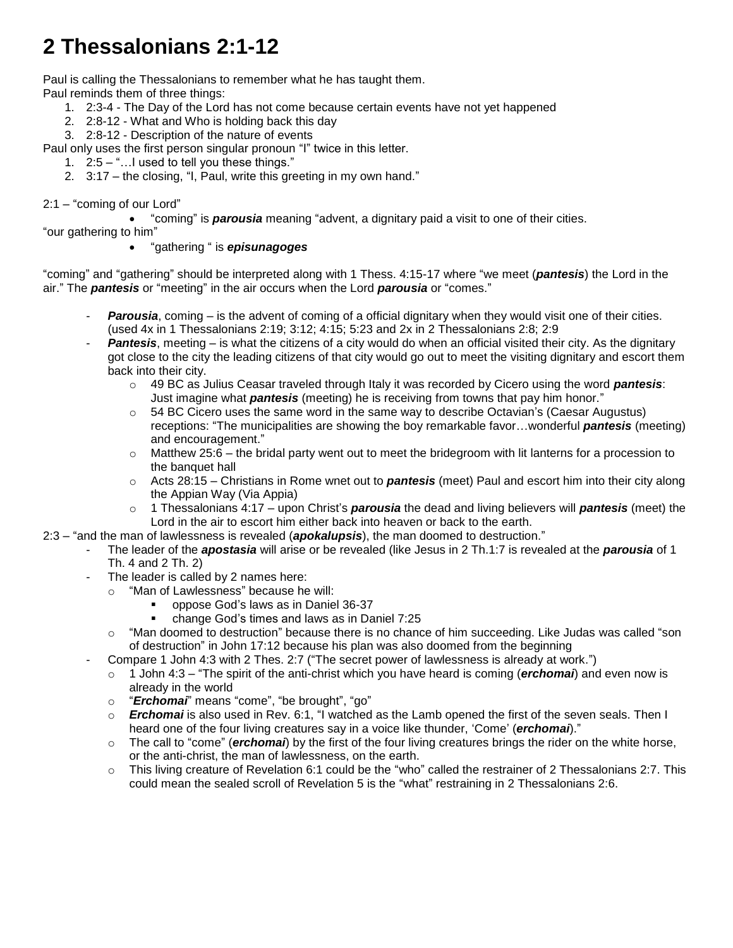# **2 Thessalonians 2:1-12**

Paul is calling the Thessalonians to remember what he has taught them. Paul reminds them of three things:

- 1. 2:3-4 The Day of the Lord has not come because certain events have not yet happened
- 2. 2:8-12 What and Who is holding back this day
- 3. 2:8-12 Description of the nature of events

Paul only uses the first person singular pronoun "I" twice in this letter.

- 1. 2:5 "…I used to tell you these things."
- 2. 3:17 the closing, "I, Paul, write this greeting in my own hand."

#### 2:1 – "coming of our Lord"

"coming" is *parousia* meaning "advent, a dignitary paid a visit to one of their cities.

"our gathering to him"

### "gathering " is *episunagoges*

"coming" and "gathering" should be interpreted along with 1 Thess. 4:15-17 where "we meet (*pantesis*) the Lord in the air." The *pantesis* or "meeting" in the air occurs when the Lord *parousia* or "comes."

- Parousia, coming is the advent of coming of a official dignitary when they would visit one of their cities. (used 4x in 1 Thessalonians 2:19; 3:12; 4:15; 5:23 and 2x in 2 Thessalonians 2:8; 2:9
- Pantesis, meeting is what the citizens of a city would do when an official visited their city. As the dignitary got close to the city the leading citizens of that city would go out to meet the visiting dignitary and escort them back into their city.
	- o 49 BC as Julius Ceasar traveled through Italy it was recorded by Cicero using the word *pantesis*: Just imagine what *pantesis* (meeting) he is receiving from towns that pay him honor."
	- $\circ$  54 BC Cicero uses the same word in the same way to describe Octavian's (Caesar Augustus) receptions: "The municipalities are showing the boy remarkable favor…wonderful *pantesis* (meeting) and encouragement."
	- o Matthew 25:6 the bridal party went out to meet the bridegroom with lit lanterns for a procession to the banquet hall
	- o Acts 28:15 Christians in Rome wnet out to *pantesis* (meet) Paul and escort him into their city along the Appian Way (Via Appia)
	- o 1 Thessalonians 4:17 upon Christ's *parousia* the dead and living believers will *pantesis* (meet) the Lord in the air to escort him either back into heaven or back to the earth.
- 2:3 "and the man of lawlessness is revealed (*apokalupsis*), the man doomed to destruction."
	- The leader of the *apostasia* will arise or be revealed (like Jesus in 2 Th.1:7 is revealed at the *parousia* of 1 Th. 4 and 2 Th. 2)
	- The leader is called by 2 names here:
		- o "Man of Lawlessness" because he will:
			- oppose God's laws as in Daniel 36-37
			- change God's times and laws as in Daniel 7:25
		- o "Man doomed to destruction" because there is no chance of him succeeding. Like Judas was called "son of destruction" in John 17:12 because his plan was also doomed from the beginning
	- Compare 1 John 4:3 with 2 Thes. 2:7 ("The secret power of lawlessness is already at work.")
		- o 1 John 4:3 "The spirit of the anti-christ which you have heard is coming (*erchomai*) and even now is already in the world
		- o "*Erchomai*" means "come", "be brought", "go"
		- o *Erchomai* is also used in Rev. 6:1, "I watched as the Lamb opened the first of the seven seals. Then I heard one of the four living creatures say in a voice like thunder, 'Come' (*erchomai*)."
		- o The call to "come" (*erchomai*) by the first of the four living creatures brings the rider on the white horse, or the anti-christ, the man of lawlessness, on the earth.
		- o This living creature of Revelation 6:1 could be the "who" called the restrainer of 2 Thessalonians 2:7. This could mean the sealed scroll of Revelation 5 is the "what" restraining in 2 Thessalonians 2:6.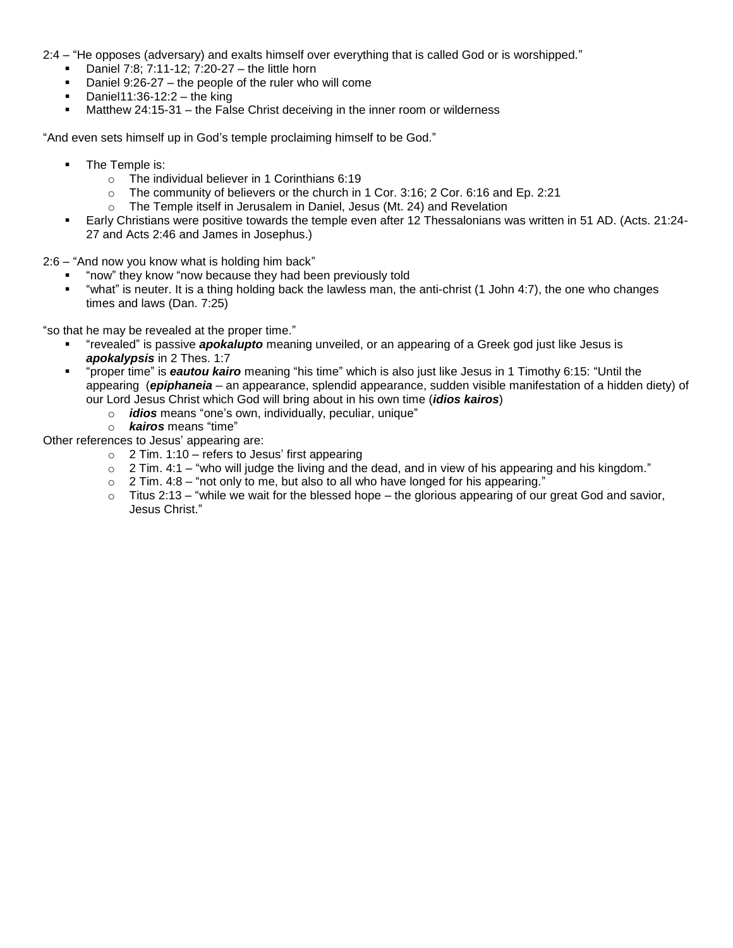2:4 – "He opposes (adversary) and exalts himself over everything that is called God or is worshipped."

- Daniel 7:8; 7:11-12; 7:20-27 the little horn
- Daniel 9:26-27 the people of the ruler who will come
- Daniel11:36-12:2 the king
- Matthew 24:15-31 the False Christ deceiving in the inner room or wilderness

"And even sets himself up in God's temple proclaiming himself to be God."

- The Temple is:
	- o The individual believer in 1 Corinthians 6:19
	- $\circ$  The community of believers or the church in 1 Cor. 3:16; 2 Cor. 6:16 and Ep. 2:21
	- o The Temple itself in Jerusalem in Daniel, Jesus (Mt. 24) and Revelation
- Early Christians were positive towards the temple even after 12 Thessalonians was written in 51 AD. (Acts. 21:24- 27 and Acts 2:46 and James in Josephus.)

2:6 – "And now you know what is holding him back"

- "now" they know "now because they had been previously told
- "what" is neuter. It is a thing holding back the lawless man, the anti-christ (1 John 4:7), the one who changes times and laws (Dan. 7:25)

"so that he may be revealed at the proper time."

- "revealed" is passive *apokalupto* meaning unveiled, or an appearing of a Greek god just like Jesus is *apokalypsis* in 2 Thes. 1:7
- "proper time" is *eautou kairo* meaning "his time" which is also just like Jesus in 1 Timothy 6:15: "Until the appearing (*epiphaneia* – an appearance, splendid appearance, sudden visible manifestation of a hidden diety) of our Lord Jesus Christ which God will bring about in his own time (*idios kairos*)
	- o *idios* means "one's own, individually, peculiar, unique"
	- o *kairos* means "time"

Other references to Jesus' appearing are:

- $\circ$  2 Tim. 1:10 refers to Jesus' first appearing
- o 2 Tim. 4:1 "who will judge the living and the dead, and in view of his appearing and his kingdom."
- $\circ$  2 Tim. 4:8 "not only to me, but also to all who have longed for his appearing."
- $\circ$  Titus 2:13 "while we wait for the blessed hope the glorious appearing of our great God and savior, Jesus Christ."